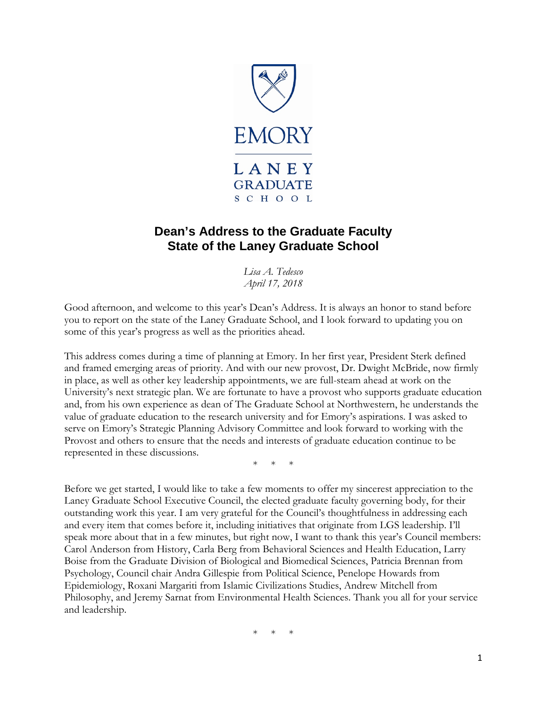

# **Dean's Address to the Graduate Faculty State of the Laney Graduate School**

*Lisa A. Tedesco April 17, 2018*

Good afternoon, and welcome to this year's Dean's Address. It is always an honor to stand before you to report on the state of the Laney Graduate School, and I look forward to updating you on some of this year's progress as well as the priorities ahead.

This address comes during a time of planning at Emory. In her first year, President Sterk defined and framed emerging areas of priority. And with our new provost, Dr. Dwight McBride, now firmly in place, as well as other key leadership appointments, we are full-steam ahead at work on the University's next strategic plan. We are fortunate to have a provost who supports graduate education and, from his own experience as dean of The Graduate School at Northwestern, he understands the value of graduate education to the research university and for Emory's aspirations. I was asked to serve on Emory's Strategic Planning Advisory Committee and look forward to working with the Provost and others to ensure that the needs and interests of graduate education continue to be represented in these discussions.

 $*$ 

Before we get started, I would like to take a few moments to offer my sincerest appreciation to the Laney Graduate School Executive Council, the elected graduate faculty governing body, for their outstanding work this year. I am very grateful for the Council's thoughtfulness in addressing each and every item that comes before it, including initiatives that originate from LGS leadership. I'll speak more about that in a few minutes, but right now, I want to thank this year's Council members: Carol Anderson from History, Carla Berg from Behavioral Sciences and Health Education, Larry Boise from the Graduate Division of Biological and Biomedical Sciences, Patricia Brennan from Psychology, Council chair Andra Gillespie from Political Science, Penelope Howards from Epidemiology, Roxani Margariti from Islamic Civilizations Studies, Andrew Mitchell from Philosophy, and Jeremy Sarnat from Environmental Health Sciences. Thank you all for your service and leadership.

 $*$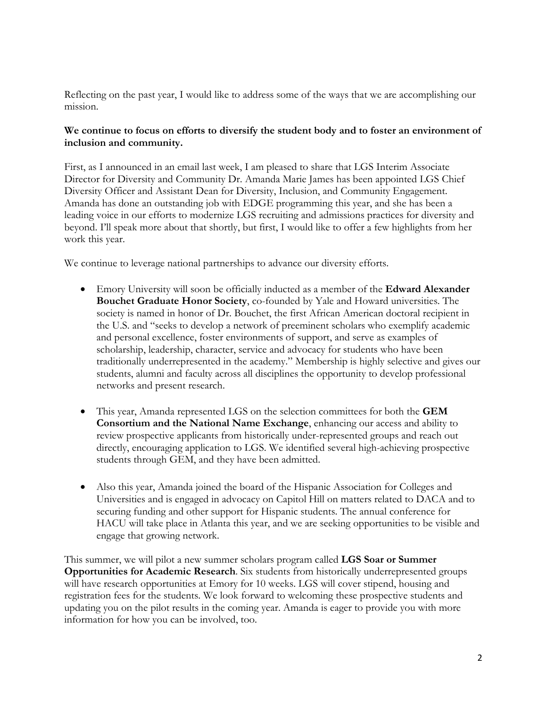Reflecting on the past year, I would like to address some of the ways that we are accomplishing our mission.

# **We continue to focus on efforts to diversify the student body and to foster an environment of inclusion and community.**

First, as I announced in an email last week, I am pleased to share that LGS Interim Associate Director for Diversity and Community Dr. Amanda Marie James has been appointed LGS Chief Diversity Officer and Assistant Dean for Diversity, Inclusion, and Community Engagement. Amanda has done an outstanding job with EDGE programming this year, and she has been a leading voice in our efforts to modernize LGS recruiting and admissions practices for diversity and beyond. I'll speak more about that shortly, but first, I would like to offer a few highlights from her work this year.

We continue to leverage national partnerships to advance our diversity efforts.

- Emory University will soon be officially inducted as a member of the **Edward Alexander Bouchet Graduate Honor Society**, co-founded by Yale and Howard universities. The society is named in honor of Dr. Bouchet, the first African American doctoral recipient in the U.S. and "seeks to develop a network of preeminent scholars who exemplify academic and personal excellence, foster environments of support, and serve as examples of scholarship, leadership, character, service and advocacy for students who have been traditionally underrepresented in the academy." Membership is highly selective and gives our students, alumni and faculty across all disciplines the opportunity to develop professional networks and present research.
- This year, Amanda represented LGS on the selection committees for both the **GEM Consortium and the National Name Exchange**, enhancing our access and ability to review prospective applicants from historically under-represented groups and reach out directly, encouraging application to LGS. We identified several high-achieving prospective students through GEM, and they have been admitted.
- Also this year, Amanda joined the board of the Hispanic Association for Colleges and Universities and is engaged in advocacy on Capitol Hill on matters related to DACA and to securing funding and other support for Hispanic students. The annual conference for HACU will take place in Atlanta this year, and we are seeking opportunities to be visible and engage that growing network.

This summer, we will pilot a new summer scholars program called **LGS Soar or Summer Opportunities for Academic Research**. Six students from historically underrepresented groups will have research opportunities at Emory for 10 weeks. LGS will cover stipend, housing and registration fees for the students. We look forward to welcoming these prospective students and updating you on the pilot results in the coming year. Amanda is eager to provide you with more information for how you can be involved, too.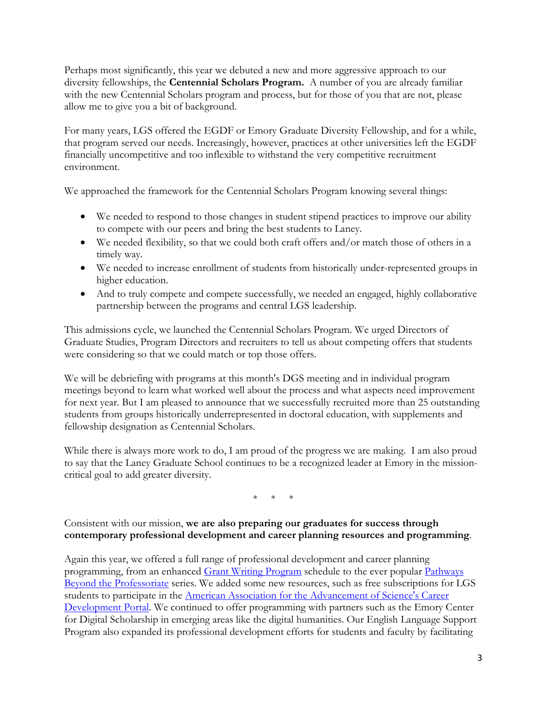Perhaps most significantly, this year we debuted a new and more aggressive approach to our diversity fellowships, the **Centennial Scholars Program.** A number of you are already familiar with the new Centennial Scholars program and process, but for those of you that are not, please allow me to give you a bit of background.

For many years, LGS offered the EGDF or Emory Graduate Diversity Fellowship, and for a while, that program served our needs. Increasingly, however, practices at other universities left the EGDF financially uncompetitive and too inflexible to withstand the very competitive recruitment environment.

We approached the framework for the Centennial Scholars Program knowing several things:

- We needed to respond to those changes in student stipend practices to improve our ability to compete with our peers and bring the best students to Laney.
- We needed flexibility, so that we could both craft offers and/or match those of others in a timely way.
- We needed to increase enrollment of students from historically under-represented groups in higher education.
- And to truly compete and compete successfully, we needed an engaged, highly collaborative partnership between the programs and central LGS leadership.

This admissions cycle, we launched the Centennial Scholars Program. We urged Directors of Graduate Studies, Program Directors and recruiters to tell us about competing offers that students were considering so that we could match or top those offers.

We will be debriefing with programs at this month's DGS meeting and in individual program meetings beyond to learn what worked well about the process and what aspects need improvement for next year. But I am pleased to announce that we successfully recruited more than 25 outstanding students from groups historically underrepresented in doctoral education, with supplements and fellowship designation as Centennial Scholars.

While there is always more work to do, I am proud of the progress we are making. I am also proud to say that the Laney Graduate School continues to be a recognized leader at Emory in the missioncritical goal to add greater diversity.

 $*$  \*

# Consistent with our mission, **we are also preparing our graduates for success through contemporary professional development and career planning resources and programming**.

Again this year, we offered a full range of professional development and career planning programming, from an enhanced [Grant Writing Program](http://gs.emory.edu/professional-development/sharpening-skills/gwp/index.html) schedule to the ever popular Pathways [Beyond the Professoriate](http://gs.emory.edu/professional-development/career-exploration/alumni/pbp.html) series. We added some new resources, such as free subscriptions for LGS students to participate in the [American Association for the Advancement of Science's Career](http://gs.emory.edu/professional-development/aaas.html)  [Development Portal.](http://gs.emory.edu/professional-development/aaas.html) We continued to offer programming with partners such as the Emory Center for Digital Scholarship in emerging areas like the digital humanities. Our English Language Support Program also expanded its professional development efforts for students and faculty by facilitating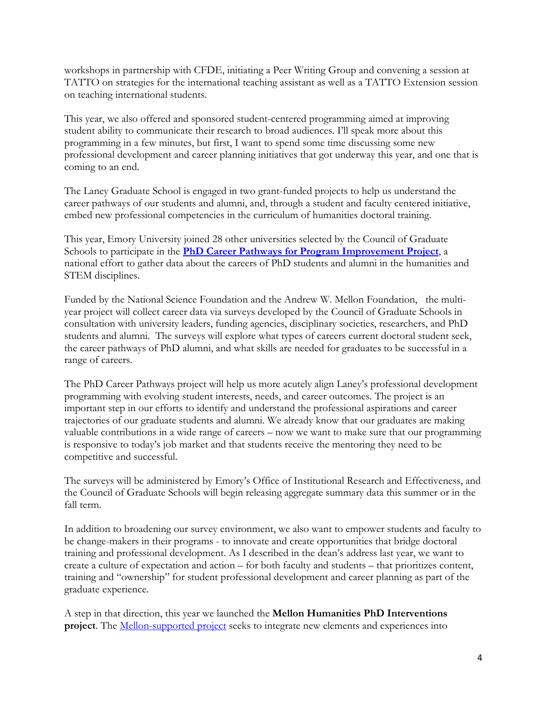workshops in partnership with CFDE, initiating a Peer Writing Group and convening a session at TATTO on strategies for the international teaching assistant as well as a TATTO Extension session on teaching international students.

This year, we also offered and sponsored student-centered programming aimed at improving student ability to communicate their research to broad audiences. I'll speak more about this programming in a few minutes, but first, I want to spend some time discussing some new professional development and career planning initiatives that got underway this year, and one that is coming to an end.

The Laney Graduate School is engaged in two grant-funded projects to help us understand the career pathways of our students and alumni, and, through a student and faculty centered initiative, embed new professional competencies in the curriculum of humanities doctoral training.

This year, Emory University joined 28 other universities selected by the Council of Graduate Schools to participate in the **[PhD Career Pathways for Program Improvement Project](http://cgsnet.org/understanding-career-pathways)**, a national effort to gather data about the careers of PhD students and alumni in the humanities and STEM disciplines.

Funded by the National Science Foundation and the Andrew W. Mellon Foundation, the multiyear project will collect career data via surveys developed by the Council of Graduate Schools in consultation with university leaders, funding agencies, disciplinary societies, researchers, and PhD students and alumni. The surveys will explore what types of careers current doctoral student seek, the career pathways of PhD alumni, and what skills are needed for graduates to be successful in a range of careers.

The PhD Career Pathways project will help us more acutely align Laney's professional development programming with evolving student interests, needs, and career outcomes. The project is an important step in our efforts to identify and understand the professional aspirations and career trajectories of our graduate students and alumni. We already know that our graduates are making valuable contributions in a wide range of careers – now we want to make sure that our programming is responsive to today's job market and that students receive the mentoring they need to be competitive and successful.

The surveys will be administered by Emory's Office of Institutional Research and Effectiveness, and the Council of Graduate Schools will begin releasing aggregate summary data this summer or in the fall term.

In addition to broadening our survey environment, we also want to empower students and faculty to be change-makers in their programs - to innovate and create opportunities that bridge doctoral training and professional development. As I described in the dean's address last year, we want to create a culture of expectation and action – for both faculty and students – that prioritizes content, training and "ownership" for student professional development and career planning as part of the graduate experience.

A step in that direction, this year we launched the **Mellon Humanities PhD Interventions project**. The [Mellon-supported project](http://gs.emory.edu/professional-development/mellon-interventions/index.html) seeks to integrate new elements and experiences into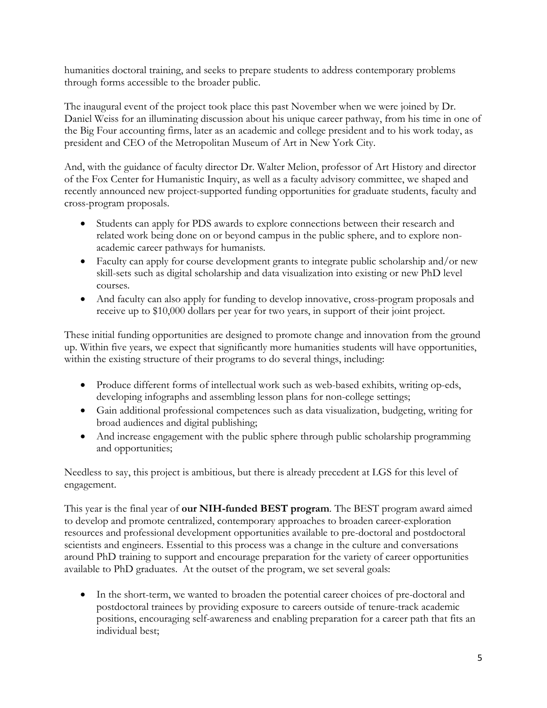humanities doctoral training, and seeks to prepare students to address contemporary problems through forms accessible to the broader public.

The inaugural event of the project took place this past November when we were joined by Dr. Daniel Weiss for an illuminating discussion about his unique career pathway, from his time in one of the Big Four accounting firms, later as an academic and college president and to his work today, as president and CEO of the Metropolitan Museum of Art in New York City.

And, with the guidance of faculty director Dr. Walter Melion, professor of Art History and director of the Fox Center for Humanistic Inquiry, as well as a faculty advisory committee, we shaped and recently announced new project-supported funding opportunities for graduate students, faculty and cross-program proposals.

- Students can apply for PDS awards to explore connections between their research and related work being done on or beyond campus in the public sphere, and to explore nonacademic career pathways for humanists.
- Faculty can apply for course development grants to integrate public scholarship and/or new skill-sets such as digital scholarship and data visualization into existing or new PhD level courses.
- And faculty can also apply for funding to develop innovative, cross-program proposals and receive up to \$10,000 dollars per year for two years, in support of their joint project.

These initial funding opportunities are designed to promote change and innovation from the ground up. Within five years, we expect that significantly more humanities students will have opportunities, within the existing structure of their programs to do several things, including:

- Produce different forms of intellectual work such as web-based exhibits, writing op-eds, developing infographs and assembling lesson plans for non-college settings;
- Gain additional professional competences such as data visualization, budgeting, writing for broad audiences and digital publishing;
- And increase engagement with the public sphere through public scholarship programming and opportunities;

Needless to say, this project is ambitious, but there is already precedent at LGS for this level of engagement.

This year is the final year of **our NIH-funded BEST program**. The BEST program award aimed to develop and promote centralized, contemporary approaches to broaden career-exploration resources and professional development opportunities available to pre-doctoral and postdoctoral scientists and engineers. Essential to this process was a change in the culture and conversations around PhD training to support and encourage preparation for the variety of career opportunities available to PhD graduates. At the outset of the program, we set several goals:

• In the short-term, we wanted to broaden the potential career choices of pre-doctoral and postdoctoral trainees by providing exposure to careers outside of tenure-track academic positions, encouraging self-awareness and enabling preparation for a career path that fits an individual best;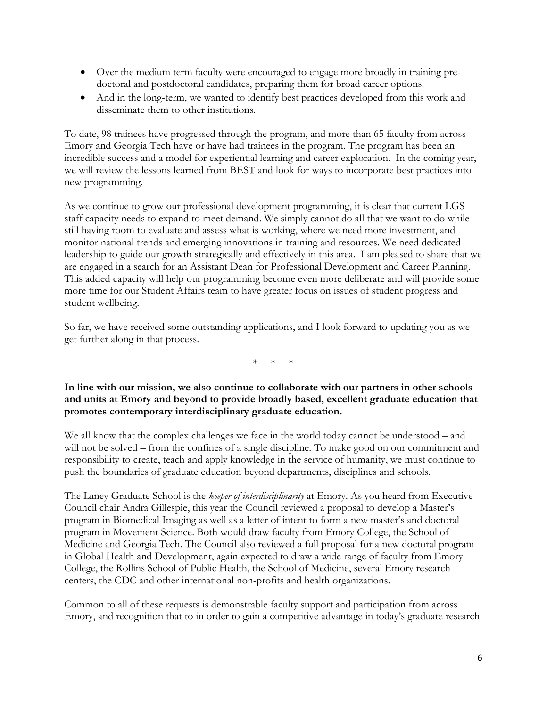- Over the medium term faculty were encouraged to engage more broadly in training predoctoral and postdoctoral candidates, preparing them for broad career options.
- And in the long-term, we wanted to identify best practices developed from this work and disseminate them to other institutions.

To date, 98 trainees have progressed through the program, and more than 65 faculty from across Emory and Georgia Tech have or have had trainees in the program. The program has been an incredible success and a model for experiential learning and career exploration. In the coming year, we will review the lessons learned from BEST and look for ways to incorporate best practices into new programming.

As we continue to grow our professional development programming, it is clear that current LGS staff capacity needs to expand to meet demand. We simply cannot do all that we want to do while still having room to evaluate and assess what is working, where we need more investment, and monitor national trends and emerging innovations in training and resources. We need dedicated leadership to guide our growth strategically and effectively in this area. I am pleased to share that we are engaged in a search for an Assistant Dean for Professional Development and Career Planning. This added capacity will help our programming become even more deliberate and will provide some more time for our Student Affairs team to have greater focus on issues of student progress and student wellbeing.

So far, we have received some outstanding applications, and I look forward to updating you as we get further along in that process.

\* \* \*

### **In line with our mission, we also continue to collaborate with our partners in other schools and units at Emory and beyond to provide broadly based, excellent graduate education that promotes contemporary interdisciplinary graduate education.**

We all know that the complex challenges we face in the world today cannot be understood – and will not be solved – from the confines of a single discipline. To make good on our commitment and responsibility to create, teach and apply knowledge in the service of humanity, we must continue to push the boundaries of graduate education beyond departments, disciplines and schools.

The Laney Graduate School is the *keeper of interdisciplinarity* at Emory. As you heard from Executive Council chair Andra Gillespie, this year the Council reviewed a proposal to develop a Master's program in Biomedical Imaging as well as a letter of intent to form a new master's and doctoral program in Movement Science. Both would draw faculty from Emory College, the School of Medicine and Georgia Tech. The Council also reviewed a full proposal for a new doctoral program in Global Health and Development, again expected to draw a wide range of faculty from Emory College, the Rollins School of Public Health, the School of Medicine, several Emory research centers, the CDC and other international non-profits and health organizations.

Common to all of these requests is demonstrable faculty support and participation from across Emory, and recognition that to in order to gain a competitive advantage in today's graduate research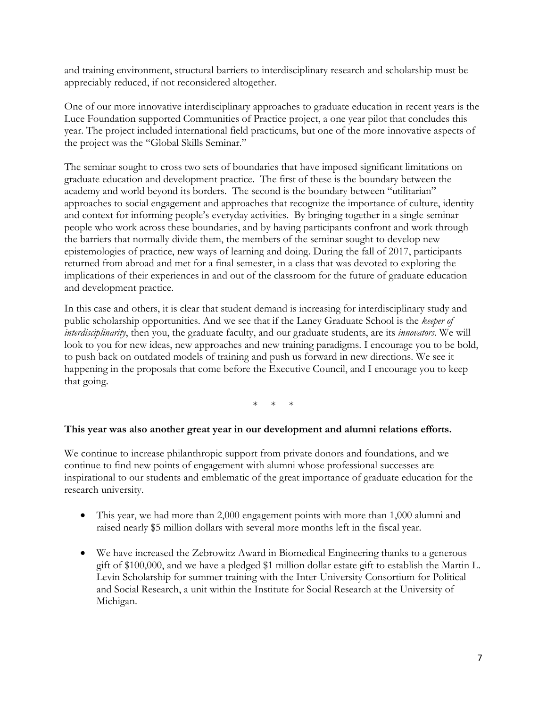and training environment, structural barriers to interdisciplinary research and scholarship must be appreciably reduced, if not reconsidered altogether.

One of our more innovative interdisciplinary approaches to graduate education in recent years is the Luce Foundation supported Communities of Practice project, a one year pilot that concludes this year. The project included international field practicums, but one of the more innovative aspects of the project was the "Global Skills Seminar."

The seminar sought to cross two sets of boundaries that have imposed significant limitations on graduate education and development practice. The first of these is the boundary between the academy and world beyond its borders. The second is the boundary between "utilitarian" approaches to social engagement and approaches that recognize the importance of culture, identity and context for informing people's everyday activities. By bringing together in a single seminar people who work across these boundaries, and by having participants confront and work through the barriers that normally divide them, the members of the seminar sought to develop new epistemologies of practice, new ways of learning and doing. During the fall of 2017, participants returned from abroad and met for a final semester, in a class that was devoted to exploring the implications of their experiences in and out of the classroom for the future of graduate education and development practice.

In this case and others, it is clear that student demand is increasing for interdisciplinary study and public scholarship opportunities. And we see that if the Laney Graduate School is the *keeper of interdisciplinarity*, then you, the graduate faculty, and our graduate students, are its *innovators*. We will look to you for new ideas, new approaches and new training paradigms. I encourage you to be bold, to push back on outdated models of training and push us forward in new directions. We see it happening in the proposals that come before the Executive Council, and I encourage you to keep that going.

 $*$  \*

### **This year was also another great year in our development and alumni relations efforts.**

We continue to increase philanthropic support from private donors and foundations, and we continue to find new points of engagement with alumni whose professional successes are inspirational to our students and emblematic of the great importance of graduate education for the research university.

- This year, we had more than 2,000 engagement points with more than 1,000 alumni and raised nearly \$5 million dollars with several more months left in the fiscal year.
- We have increased the Zebrowitz Award in Biomedical Engineering thanks to a generous gift of \$100,000, and we have a pledged \$1 million dollar estate gift to establish the Martin L. Levin Scholarship for summer training with the Inter-University Consortium for Political and Social Research, a unit within the Institute for Social Research at the University of Michigan.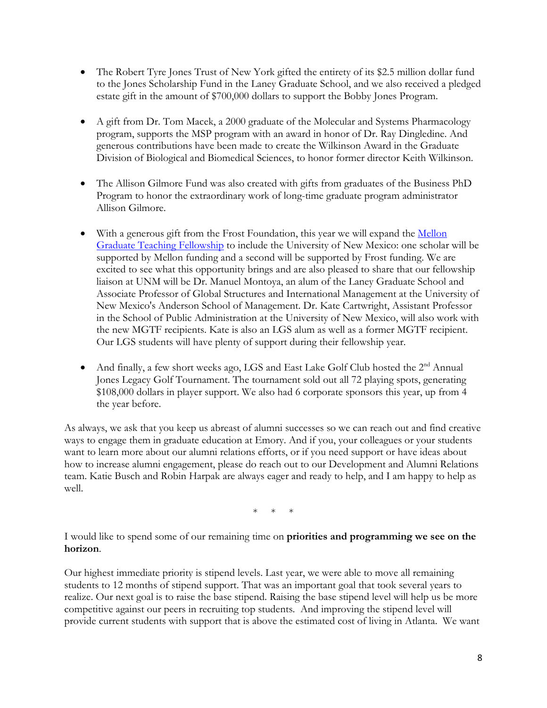- The Robert Tyre Jones Trust of New York gifted the entirety of its \$2.5 million dollar fund to the Jones Scholarship Fund in the Laney Graduate School, and we also received a pledged estate gift in the amount of \$700,000 dollars to support the Bobby Jones Program.
- A gift from Dr. Tom Macek, a 2000 graduate of the Molecular and Systems Pharmacology program, supports the MSP program with an award in honor of Dr. Ray Dingledine. And generous contributions have been made to create the Wilkinson Award in the Graduate Division of Biological and Biomedical Sciences, to honor former director Keith Wilkinson.
- The Allison Gilmore Fund was also created with gifts from graduates of the Business PhD Program to honor the extraordinary work of long-time graduate program administrator Allison Gilmore.
- With a generous gift from the Frost Foundation, this year we will expand the Mellon [Graduate Teaching Fellowship](http://gs.emory.edu/professional-development/fellowships/mgtf.html) to include the University of New Mexico: one scholar will be supported by Mellon funding and a second will be supported by Frost funding. We are excited to see what this opportunity brings and are also pleased to share that our fellowship liaison at UNM will be Dr. Manuel Montoya, an alum of the Laney Graduate School and Associate Professor of Global Structures and International Management at the University of New Mexico's Anderson School of Management. Dr. Kate Cartwright, Assistant Professor in the School of Public Administration at the University of New Mexico, will also work with the new MGTF recipients. Kate is also an LGS alum as well as a former MGTF recipient. Our LGS students will have plenty of support during their fellowship year.
- And finally, a few short weeks ago, LGS and East Lake Golf Club hosted the 2<sup>nd</sup> Annual Jones Legacy Golf Tournament. The tournament sold out all 72 playing spots, generating \$108,000 dollars in player support. We also had 6 corporate sponsors this year, up from 4 the year before.

As always, we ask that you keep us abreast of alumni successes so we can reach out and find creative ways to engage them in graduate education at Emory. And if you, your colleagues or your students want to learn more about our alumni relations efforts, or if you need support or have ideas about how to increase alumni engagement, please do reach out to our Development and Alumni Relations team. Katie Busch and Robin Harpak are always eager and ready to help, and I am happy to help as well.

 $\ast$ 

I would like to spend some of our remaining time on **priorities and programming we see on the horizon**.

Our highest immediate priority is stipend levels. Last year, we were able to move all remaining students to 12 months of stipend support. That was an important goal that took several years to realize. Our next goal is to raise the base stipend. Raising the base stipend level will help us be more competitive against our peers in recruiting top students. And improving the stipend level will provide current students with support that is above the estimated cost of living in Atlanta. We want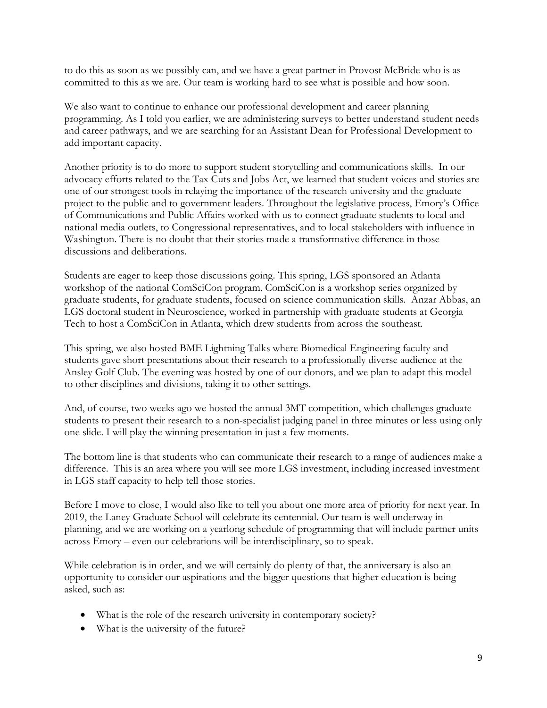to do this as soon as we possibly can, and we have a great partner in Provost McBride who is as committed to this as we are. Our team is working hard to see what is possible and how soon.

We also want to continue to enhance our professional development and career planning programming. As I told you earlier, we are administering surveys to better understand student needs and career pathways, and we are searching for an Assistant Dean for Professional Development to add important capacity.

Another priority is to do more to support student storytelling and communications skills. In our advocacy efforts related to the Tax Cuts and Jobs Act, we learned that student voices and stories are one of our strongest tools in relaying the importance of the research university and the graduate project to the public and to government leaders. Throughout the legislative process, Emory's Office of Communications and Public Affairs worked with us to connect graduate students to local and national media outlets, to Congressional representatives, and to local stakeholders with influence in Washington. There is no doubt that their stories made a transformative difference in those discussions and deliberations.

Students are eager to keep those discussions going. This spring, LGS sponsored an Atlanta workshop of the national ComSciCon program. ComSciCon is a workshop series organized by graduate students, for graduate students, focused on science communication skills. Anzar Abbas, an LGS doctoral student in Neuroscience, worked in partnership with graduate students at Georgia Tech to host a ComSciCon in Atlanta, which drew students from across the southeast.

This spring, we also hosted BME Lightning Talks where Biomedical Engineering faculty and students gave short presentations about their research to a professionally diverse audience at the Ansley Golf Club. The evening was hosted by one of our donors, and we plan to adapt this model to other disciplines and divisions, taking it to other settings.

And, of course, two weeks ago we hosted the annual 3MT competition, which challenges graduate students to present their research to a non-specialist judging panel in three minutes or less using only one slide. I will play the winning presentation in just a few moments.

The bottom line is that students who can communicate their research to a range of audiences make a difference. This is an area where you will see more LGS investment, including increased investment in LGS staff capacity to help tell those stories.

Before I move to close, I would also like to tell you about one more area of priority for next year. In 2019, the Laney Graduate School will celebrate its centennial. Our team is well underway in planning, and we are working on a yearlong schedule of programming that will include partner units across Emory – even our celebrations will be interdisciplinary, so to speak.

While celebration is in order, and we will certainly do plenty of that, the anniversary is also an opportunity to consider our aspirations and the bigger questions that higher education is being asked, such as:

- What is the role of the research university in contemporary society?
- What is the university of the future?